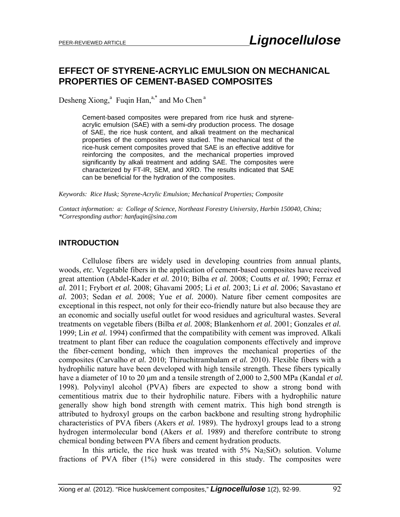# **EFFECT OF STYRENE-ACRYLIC EMULSION ON MECHANICAL PROPERTIES OF CEMENT-BASED COMPOSITES**

Desheng Xiong, $^{a}$  Fuqin Han, $^{a,*}$  and Mo Chen $^{a}$ 

Cement-based composites were prepared from rice husk and styreneacrylic emulsion (SAE) with a semi-dry production process. The dosage of SAE, the rice husk content, and alkali treatment on the mechanical properties of the composites were studied. The mechanical test of the rice-husk cement composites proved that SAE is an effective additive for reinforcing the composites, and the mechanical properties improved significantly by alkali treatment and adding SAE. The composites were characterized by FT-IR, SEM, and XRD. The results indicated that SAE can be beneficial for the hydration of the composites.

*Keywords: Rice Husk; Styrene-Acrylic Emulsion; Mechanical Properties; Composite* 

*Contact information: a: College of Science, Northeast Forestry University, Harbin 150040, China; \*Corresponding author: hanfuqin@sina.com* 

#### **INTRODUCTION**

 Cellulose fibers are widely used in developing countries from annual plants, woods, *etc.* Vegetable fibers in the application of cement-based composites have received great attention (Abdel-Kader *et al.* 2010; Bilba *et al.* 2008; Coutts *et al.* 1990; Ferraz *et al.* 2011; Frybort *et al.* 2008; Ghavami 2005; Li *et al.* 2003; Li *et al.* 2006; Savastano *et al.* 2003; Sedan *et al.* 2008; Yue *et al.* 2000). Nature fiber cement composites are exceptional in this respect, not only for their eco-friendly nature but also because they are an economic and socially useful outlet for wood residues and agricultural wastes. Several treatments on vegetable fibers (Bilba *et al.* 2008; Blankenhorn *et al.* 2001; Gonzales *et al.* 1999; Lin *et al.* 1994) confirmed that the compatibility with cement was improved. Alkali treatment to plant fiber can reduce the coagulation components effectively and improve the fiber-cement bonding, which then improves the mechanical properties of the composites (Carvalho *et al.* 2010; Thiruchitrambalam *et al.* 2010). Flexible fibers with a hydrophilic nature have been developed with high tensile strength. These fibers typically have a diameter of 10 to 20 μm and a tensile strength of 2,000 to 2,500 MPa (Kandal *et al.* 1998). Polyvinyl alcohol (PVA) fibers are expected to show a strong bond with cementitious matrix due to their hydrophilic nature. Fibers with a hydrophilic nature generally show high bond strength with cement matrix. This high bond strength is attributed to hydroxyl groups on the carbon backbone and resulting strong hydrophilic characteristics of PVA fibers (Akers *et al.* 1989). The hydroxyl groups lead to a strong hydrogen intermolecular bond (Akers *et al.* 1989) and therefore contribute to strong chemical bonding between PVA fibers and cement hydration products.

In this article, the rice husk was treated with  $5\%$  Na<sub>2</sub>SiO<sub>3</sub> solution. Volume fractions of PVA fiber (1%) were considered in this study. The composites were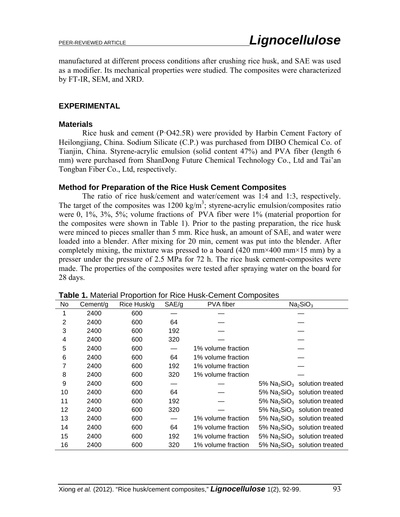manufactured at different process conditions after crushing rice husk, and SAE was used as a modifier. Its mechanical properties were studied. The composites were characterized by FT-IR, SEM, and XRD.

## **EXPERIMENTAL**

#### **Materials**

Rice husk and cement  $(P·O42.5R)$  were provided by Harbin Cement Factory of Heilongjiang, China. Sodium Silicate (C.P.) was purchased from DIBO Chemical Co. of Tianjin, China. Styrene-acrylic emulsion (solid content 47%) and PVA fiber (length 6 mm) were purchased from ShanDong Future Chemical Technology Co., Ltd and Tai'an Tongban Fiber Co., Ltd, respectively.

## **Method for Preparation of the Rice Husk Cement Composites**

The ratio of rice husk/cement and water/cement was 1:4 and 1:3, respectively. The target of the composites was  $1200 \text{ kg/m}^3$ ; styrene-acrylic emulsion/composites ratio were 0, 1%, 3%, 5%; volume fractions of PVA fiber were 1% (material proportion for the composites were shown in Table 1). Prior to the pasting preparation, the rice husk were minced to pieces smaller than 5 mm. Rice husk, an amount of SAE, and water were loaded into a blender. After mixing for 20 min, cement was put into the blender. After completely mixing, the mixture was pressed to a board  $(420 \text{ mm} \times 400 \text{ mm} \times 15 \text{ mm})$  by a presser under the pressure of 2.5 MPa for 72 h. The rice husk cement-composites were made. The properties of the composites were tested after spraying water on the board for 28 days.

| No             | Cement/g | Rice Husk/g | SAE/g | PVA fiber          | Na <sub>2</sub> SiO <sub>3</sub>                        |  |  |
|----------------|----------|-------------|-------|--------------------|---------------------------------------------------------|--|--|
| 1              | 2400     | 600         |       |                    |                                                         |  |  |
| $\overline{2}$ | 2400     | 600         | 64    |                    |                                                         |  |  |
| 3              | 2400     | 600         | 192   |                    |                                                         |  |  |
| 4              | 2400     | 600         | 320   |                    |                                                         |  |  |
| 5              | 2400     | 600         |       | 1% volume fraction |                                                         |  |  |
| 6              | 2400     | 600         | 64    | 1% volume fraction |                                                         |  |  |
| 7              | 2400     | 600         | 192   | 1% volume fraction |                                                         |  |  |
| 8              | 2400     | 600         | 320   | 1% volume fraction |                                                         |  |  |
| 9              | 2400     | 600         |       |                    | $5\%$ Na <sub>2</sub> SiO <sub>3</sub> solution treated |  |  |
| 10             | 2400     | 600         | 64    |                    | 5% $Na2SiO3$ solution treated                           |  |  |
| 11             | 2400     | 600         | 192   |                    | 5% $Na2SiO3$ solution treated                           |  |  |
| 12             | 2400     | 600         | 320   |                    | 5% $Na2SiO3$ solution treated                           |  |  |
| 13             | 2400     | 600         |       | 1% volume fraction | 5% $Na2SiO3$ solution treated                           |  |  |
| 14             | 2400     | 600         | 64    | 1% volume fraction | $5\%$ Na <sub>2</sub> SiO <sub>3</sub> solution treated |  |  |
| 15             | 2400     | 600         | 192   | 1% volume fraction | $5\%$ Na <sub>2</sub> SiO <sub>3</sub> solution treated |  |  |
| 16             | 2400     | 600         | 320   | 1% volume fraction | 5% $Na2SiO3$ solution treated                           |  |  |

**Table 1.** Material Proportion for Rice Husk-Cement Composites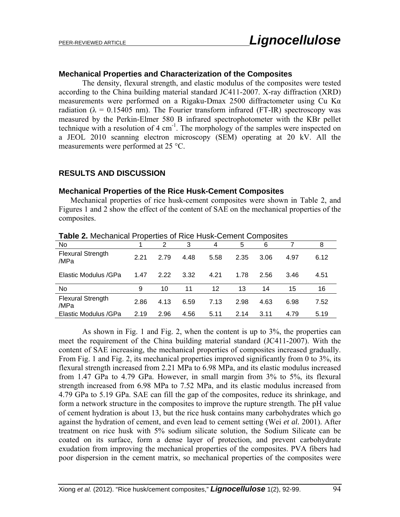## **Mechanical Properties and Characterization of the Composites**

The density, flexural strength, and elastic modulus of the composites were tested according to the China building material standard JC411-2007. X-ray diffraction (XRD) measurements were performed on a Rigaku-Dmax 2500 diffractometer using Cu K $\alpha$ radiation ( $\lambda = 0.15405$  nm). The Fourier transform infrared (FT-IR) spectroscopy was measured by the Perkin-Elmer 580 B infrared spectrophotometer with the KBr pellet technique with a resolution of  $4 \text{ cm}^{-1}$ . The morphology of the samples were inspected on a JEOL 2010 scanning electron microscopy (SEM) operating at 20 kV. All the measurements were performed at 25 °C.

## **RESULTS AND DISCUSSION**

## **Mechanical Properties of the Rice Husk-Cement Composites**

Mechanical properties of rice husk-cement composites were shown in Table 2, and Figures 1 and 2 show the effect of the content of SAE on the mechanical properties of the composites.

| <b>TUDIO E.</b> MOUTUMOU F TOPONIOJ ULTNOJ FIUJIN ODITIONI ODITIPOJINJ |      |      |      |      |      |      |      |      |  |  |  |  |
|------------------------------------------------------------------------|------|------|------|------|------|------|------|------|--|--|--|--|
| No                                                                     |      | 2    | 3    | 4    | 5    | 6    |      | 8    |  |  |  |  |
| <b>Flexural Strength</b><br>/MPa                                       | 2.21 | 2.79 | 4.48 | 5.58 | 2.35 | 3.06 | 4.97 | 6.12 |  |  |  |  |
| Elastic Modulus /GPa                                                   | 1.47 | 2.22 | 3.32 | 4.21 | 1.78 | 2.56 | 3.46 | 4.51 |  |  |  |  |
| No                                                                     | 9    | 10   | 11   | 12   | 13   | 14   | 15   | 16   |  |  |  |  |
| <b>Flexural Strength</b><br>/MPa                                       | 2.86 | 4.13 | 6.59 | 7.13 | 2.98 | 4.63 | 6.98 | 7.52 |  |  |  |  |
| Elastic Modulus / GPa                                                  | 2.19 | 2.96 | 4.56 | 5.11 | 2.14 | 3.11 | 4.79 | 5.19 |  |  |  |  |

**Table 2.** Mechanical Properties of Rice Husk-Cement Composites

As shown in Fig. 1 and Fig. 2, when the content is up to 3%, the properties can meet the requirement of the China building material standard (JC411-2007). With the content of SAE increasing, the mechanical properties of composites increased gradually. From Fig. 1 and Fig. 2, its mechanical properties improved significantly from 0 to 3%, its flexural strength increased from 2.21 MPa to 6.98 MPa, and its elastic modulus increased from 1.47 GPa to 4.79 GPa. However, in small margin from 3% to 5%, its flexural strength increased from 6.98 MPa to 7.52 MPa, and its elastic modulus increased from 4.79 GPa to 5.19 GPa. SAE can fill the gap of the composites, reduce its shrinkage, and form a network structure in the composites to improve the rupture strength. The pH value of cement hydration is about 13, but the rice husk contains many carbohydrates which go against the hydration of cement, and even lead to cement setting (Wei *et al.* 2001). After treatment on rice husk with 5% sodium silicate solution, the Sodium Silicate can be coated on its surface, form a dense layer of protection, and prevent carbohydrate exudation from improving the mechanical properties of the composites. PVA fibers had poor dispersion in the cement matrix, so mechanical properties of the composites were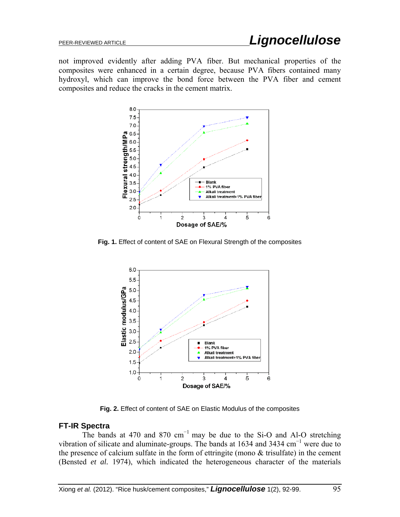not improved evidently after adding PVA fiber. But mechanical properties of the composites were enhanced in a certain degree, because PVA fibers contained many hydroxyl, which can improve the bond force between the PVA fiber and cement composites and reduce the cracks in the cement matrix.



**Fig. 1.** Effect of content of SAE on Flexural Strength of the composites



**Fig. 2.** Effect of content of SAE on Elastic Modulus of the composites

## **FT-IR Spectra**

The bands at 470 and 870  $cm^{-1}$  may be due to the Si-O and Al-O stretching vibration of silicate and aluminate-groups. The bands at 1634 and 3434  $cm^{-1}$  were due to the presence of calcium sulfate in the form of ettringite (mono & trisulfate) in the cement (Bensted *et al.* 1974), which indicated the heterogeneous character of the materials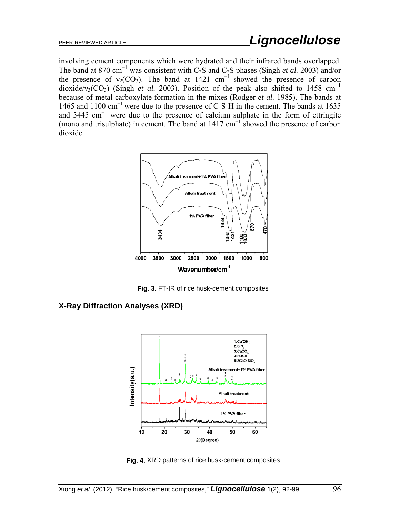involving cement components which were hydrated and their infrared bands overlapped. The band at 870 cm<sup>-1</sup> was consistent with C<sub>2</sub>S and C<sub>2</sub>S phases (Singh *et al.* 2003) and/or the presence of  $v_2(CO_3)$ . The band at 1421 cm<sup>-1</sup> showed the presence of carbon dioxide/v<sub>3</sub>(CO<sub>3</sub>) (Singh *et al.* 2003). Position of the peak also shifted to 1458 cm<sup>-1</sup> because of metal carboxylate formation in the mixes (Rodger *et al.* 1985). The bands at 1465 and 1100 cm<sup>−</sup>1 were due to the presence of C-S-H in the cement. The bands at 1635 and 3445 cm<sup>-1</sup> were due to the presence of calcium sulphate in the form of ettringite (mono and trisulphate) in cement. The band at 1417 cm<sup>−</sup><sup>1</sup> showed the presence of carbon dioxide.



**Fig. 3.** FT-IR of rice husk-cement composites

**X-Ray Diffraction Analyses (XRD)** 



**Fig. 4.** XRD patterns of rice husk-cement composites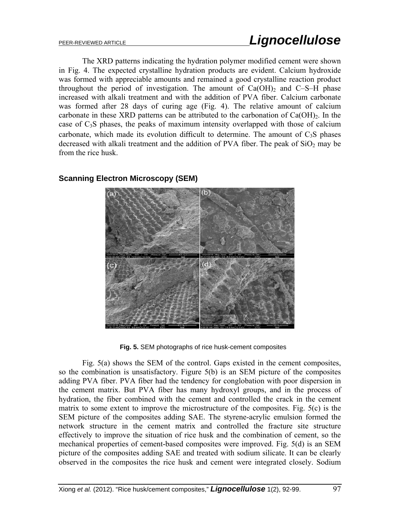The XRD patterns indicating the hydration polymer modified cement were shown in Fig. 4. The expected crystalline hydration products are evident. Calcium hydroxide was formed with appreciable amounts and remained a good crystalline reaction product throughout the period of investigation. The amount of  $Ca(OH)_2$  and C–S–H phase increased with alkali treatment and with the addition of PVA fiber. Calcium carbonate was formed after 28 days of curing age (Fig. 4). The relative amount of calcium carbonate in these XRD patterns can be attributed to the carbonation of  $Ca(OH)_2$ . In the case of  $C_3S$  phases, the peaks of maximum intensity overlapped with those of calcium carbonate, which made its evolution difficult to determine. The amount of  $C_3S$  phases decreased with alkali treatment and the addition of PVA fiber. The peak of  $SiO<sub>2</sub>$  may be from the rice husk.



## **Scanning Electron Microscopy (SEM)**

**Fig. 5.** SEM photographs of rice husk-cement composites

Fig. 5(a) shows the SEM of the control. Gaps existed in the cement composites, so the combination is unsatisfactory. Figure 5(b) is an SEM picture of the composites adding PVA fiber. PVA fiber had the tendency for conglobation with poor dispersion in the cement matrix. But PVA fiber has many hydroxyl groups, and in the process of hydration, the fiber combined with the cement and controlled the crack in the cement matrix to some extent to improve the microstructure of the composites. Fig. 5(c) is the SEM picture of the composites adding SAE. The styrene-acrylic emulsion formed the network structure in the cement matrix and controlled the fracture site structure effectively to improve the situation of rice husk and the combination of cement, so the mechanical properties of cement-based composites were improved. Fig. 5(d) is an SEM picture of the composites adding SAE and treated with sodium silicate. It can be clearly observed in the composites the rice husk and cement were integrated closely. Sodium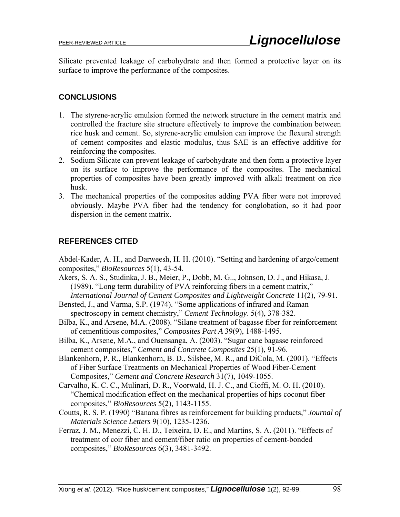Silicate prevented leakage of carbohydrate and then formed a protective layer on its surface to improve the performance of the composites.

## **CONCLUSIONS**

- 1. The styrene-acrylic emulsion formed the network structure in the cement matrix and controlled the fracture site structure effectively to improve the combination between rice husk and cement. So, styrene-acrylic emulsion can improve the flexural strength of cement composites and elastic modulus, thus SAE is an effective additive for reinforcing the composites.
- 2. Sodium Silicate can prevent leakage of carbohydrate and then form a protective layer on its surface to improve the performance of the composites. The mechanical properties of composites have been greatly improved with alkali treatment on rice husk.
- 3. The mechanical properties of the composites adding PVA fiber were not improved obviously. Maybe PVA fiber had the tendency for conglobation, so it had poor dispersion in the cement matrix.

## **REFERENCES CITED**

Abdel-Kader, A. H., and Darweesh, H. H. (2010). "Setting and hardening of argo/cement composites," *BioResources* 5(1), 43-54.

- Akers, S. A. S., Studinka, J. B., Meier, P., Dobb, M. G.., Johnson, D. J., and Hikasa, J. (1989). "Long term durability of PVA reinforcing fibers in a cement matrix," *International Journal of Cement Composites and Lightweight Concrete* 11(2), 79-91.
- Bensted, J., and Varma, S.P. (1974). "Some applications of infrared and Raman spectroscopy in cement chemistry," *Cement Technology*. 5(4), 378-382.
- Bilba, K., and Arsene, M.A. (2008). "Silane treatment of bagasse fiber for reinforcement of cementitious composites," *Composites Part A* 39(9), 1488-1495.
- Bilba, K., Arsene, M.A., and Ouensanga, A. (2003). "Sugar cane bagasse reinforced cement composites," *Cement and Concrete Composites* 25(1), 91-96.
- Blankenhorn, P. R., Blankenhorn, B. D., Silsbee, M. R., and DiCola, M. (2001). "Effects of Fiber Surface Treatments on Mechanical Properties of Wood Fiber-Cement Composites," *Cement and Concrete Research* 31(7), 1049-1055.
- Carvalho, K. C. C., Mulinari, D. R., Voorwald, H. J. C., and Cioffi, M. O. H. (2010). "Chemical modification effect on the mechanical properties of hips coconut fiber composites," *BioResources* 5(2), 1143-1155.
- Coutts, R. S. P. (1990) "Banana fibres as reinforcement for building products," *Journal of Materials Science Letters* 9(10), 1235-1236.
- Ferraz, J. M., Menezzi, C. H. D., Teixeira, D. E., and Martins, S. A. (2011). "Effects of treatment of coir fiber and cement/fiber ratio on properties of cement-bonded composites," *BioResources* 6(3), 3481-3492.